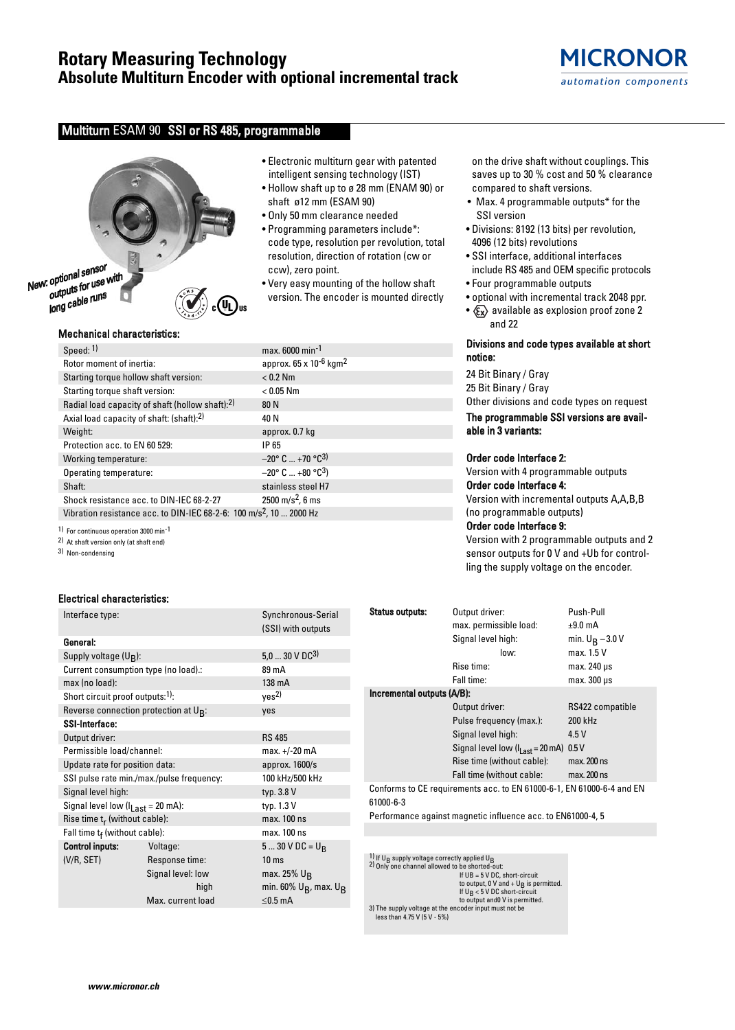## **Rotary Measuring Technology Absolute Multiturn Encoder with optional incremental track**

## Multiturn ESAM 90 SSI or RS 485, programmable



## Mechanical characteristics:

| Speed: 1)                                                                       | max. 6000 min-1                                   |
|---------------------------------------------------------------------------------|---------------------------------------------------|
| Rotor moment of inertia:                                                        | approx. 65 x 10 <sup>-6</sup> kgm <sup>2</sup>    |
| Starting torque hollow shaft version:                                           | $< 0.2$ Nm                                        |
| Starting torque shaft version:                                                  | $< 0.05$ Nm                                       |
| Radial load capacity of shaft (hollow shaft):2)                                 | 80 N                                              |
| Axial load capacity of shaft: (shaft):2)                                        | 40 N                                              |
| Weight:                                                                         | approx. 0.7 kg                                    |
| Protection acc. to EN 60 529:                                                   | IP 65                                             |
| Working temperature:                                                            | $-20^{\circ}$ C $$ +70 $^{\circ}$ C <sup>3)</sup> |
| Operating temperature:                                                          | $-20^{\circ}$ C  +80 $^{\circ}$ C <sup>3</sup> )  |
| Shaft:                                                                          | stainless steel H7                                |
| Shock resistance acc. to DIN-IEC 68-2-27                                        | $2500 \text{ m/s}^2$ , 6 ms                       |
| Vibration resistance acc. to DIN-IEC 68-2-6: 100 m/s <sup>2</sup> , 10  2000 Hz |                                                   |

1) For continuous operation 3000 min-1

2) At shaft version only (at shaft end)

3) Non-condensing

#### Electrical characteristics:

| Interface type:                                     |                                           | Synchronous-Serial                            |  |  |  |  |
|-----------------------------------------------------|-------------------------------------------|-----------------------------------------------|--|--|--|--|
|                                                     |                                           | (SSI) with outputs                            |  |  |  |  |
| General:                                            |                                           |                                               |  |  |  |  |
| Supply voltage (U <sub>B</sub> ):                   |                                           | $5,030 \vee DC^{3}$                           |  |  |  |  |
| Current consumption type (no load).:                |                                           | 89 mA                                         |  |  |  |  |
| max (no load):                                      |                                           | 138 mA                                        |  |  |  |  |
| Short circuit proof outputs: <sup>1)</sup> :        |                                           | ves <sup>2</sup>                              |  |  |  |  |
| Reverse connection protection at $U_{\mathsf{B}}$ : |                                           | yes                                           |  |  |  |  |
| <b>SSI-Interface:</b>                               |                                           |                                               |  |  |  |  |
| Output driver:                                      |                                           | <b>RS 485</b>                                 |  |  |  |  |
| Permissible load/channel:                           |                                           | max. +/-20 mA                                 |  |  |  |  |
| Update rate for position data:                      |                                           | approx. 1600/s                                |  |  |  |  |
|                                                     | SSI pulse rate min./max./pulse frequency: | 100 kHz/500 kHz                               |  |  |  |  |
| Signal level high:                                  |                                           | typ. 3.8 V                                    |  |  |  |  |
| Signal level low $(I_{Last} = 20 \text{ mA})$ :     |                                           | typ. 1.3 V                                    |  |  |  |  |
| Rise time $t_r$ (without cable):                    |                                           | max. 100 ns                                   |  |  |  |  |
| Fall time $t_f$ (without cable):                    |                                           | max. 100 ns                                   |  |  |  |  |
| <b>Control inputs:</b>                              | Voltage:                                  | 5  30 V DC = $U_R$                            |  |  |  |  |
| (V/R, SET)                                          | Response time:                            | 10 <sub>ms</sub>                              |  |  |  |  |
|                                                     | Signal level: low                         | max. 25% $U_R$                                |  |  |  |  |
|                                                     | high                                      | min. 60% U <sub>B</sub> , max. U <sub>B</sub> |  |  |  |  |
|                                                     | Max. current load                         | $\leq$ 0.5 mA                                 |  |  |  |  |
|                                                     |                                           |                                               |  |  |  |  |

- Electronic multiturn gear with patented intelligent sensing technology (IST)
- Hollow shaft up to ø 28 mm (ENAM 90) or shaft ø12 mm (ESAM 90)
- Only 50 mm clearance needed
- Programming parameters include\*: code type, resolution per revolution, total resolution, direction of rotation (cw or ccw), zero point.
- Very easy mounting of the hollow shaft version. The encoder is mounted directly

on the drive shaft without couplings. This saves up to 30 % cost and 50 % clearance compared to shaft versions.

- Max. 4 programmable outputs\* for the SSI version
- Divisions: 8192 (13 bits) per revolution, 4096 (12 bits) revolutions
- SSI interface, additional interfaces include RS 485 and OEM specific protocols
- Four programmable outputs
- optional with incremental track 2048 ppr.
- $x \rightarrow 2$  available as explosion proof zone 2 and 22

## Divisions and code types available at short notice:

24 Bit Binary / Gray 25 Bit Binary / Gray Other divisions and code types on request

The programmable SSI versions are available in 3 variants:

#### Order code Interface 2:

Version with 4 programmable outputs Order code Interface 4:

Version with incremental outputs A,A,B,B (no programmable outputs)

## Order code Interface 9:

Version with 2 programmable outputs and 2 sensor outputs for 0 V and +Ub for controlling the supply voltage on the encoder.

| <b>Status outputs:</b>                                                             | Output driver:                             | Push-Pull          |  |  |  |  |  |  |
|------------------------------------------------------------------------------------|--------------------------------------------|--------------------|--|--|--|--|--|--|
|                                                                                    | max. permissible load:                     | $±9.0$ mA          |  |  |  |  |  |  |
|                                                                                    | Signal level high:                         | min. $U_R - 3.0 V$ |  |  |  |  |  |  |
|                                                                                    | low:                                       | max. 1.5 V         |  |  |  |  |  |  |
|                                                                                    | Rise time:                                 | max. 240 µs        |  |  |  |  |  |  |
|                                                                                    | Fall time:                                 | $max.300 \,\mu s$  |  |  |  |  |  |  |
| Incremental outputs (A/B):                                                         |                                            |                    |  |  |  |  |  |  |
|                                                                                    | Output driver:                             | RS422 compatible   |  |  |  |  |  |  |
|                                                                                    | Pulse frequency (max.):                    | 200 kHz            |  |  |  |  |  |  |
|                                                                                    | Signal level high:                         | 4.5 V              |  |  |  |  |  |  |
|                                                                                    | Signal level low $(Ilast = 20 \text{ mA})$ | 0.5V               |  |  |  |  |  |  |
|                                                                                    | Rise time (without cable):                 | max. 200 ns        |  |  |  |  |  |  |
|                                                                                    | Fall time (without cable:                  | max. 200 ns        |  |  |  |  |  |  |
| Conforms to CE requirements acc. to EN 61000-6-1, EN 61000-6-4 and EN<br>61000-6-3 |                                            |                    |  |  |  |  |  |  |

Performance against magnetic influence acc. to EN61000-4, 5

1) If U<sub>B</sub> supply voltage correctly applied U<sub>B</sub>  $2)$  Only one channel allowed to be shorted-out: If UB = 5 V DC, short-circuit to output, 0 V and + U<sub>B</sub> is permitted.<br>If U<sub>B</sub> < 5 V DC short-circuit to output and0 V is permitted. 3) The supply voltage at the encoder input must not be less than 4.75 V (5 V - 5%)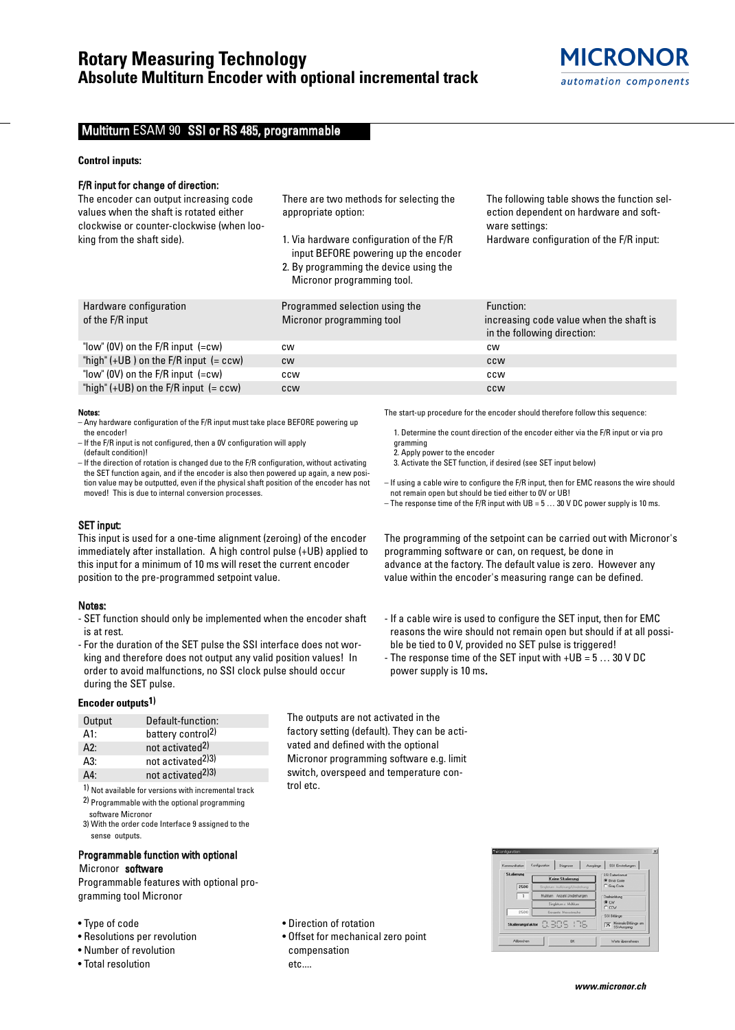## Multiturn ESAM 90 SSI or RS 485, programmable

#### **Control inputs:**

## F/R input for change of direction:

The encoder can output increasing code values when the shaft is rotated either clockwise or counter-clockwise (when looking from the shaft side).

There are two methods for selecting the appropriate option:

- 1. Via hardware configuration of the F/R input BEFORE powering up the encoder
- 2. By programming the device using the Micronor programming tool.

The following table shows the function selection dependent on hardware and software settings: Hardware configuration of the F/R input:

| Hardware configuration                    | Programmed selection using the | Function:                                                              |
|-------------------------------------------|--------------------------------|------------------------------------------------------------------------|
| of the F/R input                          | Micronor programming tool      | increasing code value when the shaft is<br>in the following direction: |
| "low" (OV) on the $F/R$ input $(=cw)$     | <b>CW</b>                      | <b>CW</b>                                                              |
| "high" $(+UB)$ on the F/R input $(= ccw)$ | <b>CW</b>                      | <b>CCW</b>                                                             |
| "low" (0V) on the $F/R$ input $(=cw)$     | ccw                            | ccw                                                                    |
| "high" $(+UB)$ on the F/R input $(= ccw)$ | <b>CCW</b>                     | <b>CCW</b>                                                             |

#### Notes:

- Any hardware configuration of the F/R input must take place BEFORE powering up the encoder!
- If the F/R input is not configured, then a 0V configuration will apply (default condition)!

– If the direction of rotation is changed due to the F/R configuration, without activating the SET function again, and if the encoder is also then powered up again, a new position value may be outputted, even if the physical shaft position of the encoder has not moved! This is due to internal conversion processes.

## SET input:

This input is used for a one-time alignment (zeroing) of the encoder immediately after installation. A high control pulse (+UB) applied to this input for a minimum of 10 ms will reset the current encoder position to the pre-programmed setpoint value.

#### Notes:

- SET function should only be implemented when the encoder shaft is at rest.
- For the duration of the SET pulse the SSI interface does not working and therefore does not output any valid position values! In order to avoid malfunctions, no SSI clock pulse should occur during the SET pulse.

## **Encoder outputs1)**

| Output | Default-function:             |
|--------|-------------------------------|
| A1:    | battery control <sup>2)</sup> |
| A2:    | not activated <sup>2)</sup>   |
| A3:    | not activated <sup>2)3)</sup> |
| Δ4٠    | not activated <sup>2)3)</sup> |

1) Not available for versions with incremental track 2) Programmable with the optional programming

software Micronor 3) With the order code Interface 9 assigned to the sense outputs.

## Programmable function with optional Micronor software

Programmable features with optional programming tool Micronor

- Type of code
- Resolutions per revolution
- Number of revolution
- Total resolution

• Direction of rotation

trol etc.

• Offset for mechanical zero point compensation etc....

The outputs are not activated in the factory setting (default). They can be activated and defined with the optional Micronor programming software e.g. limit switch, overspeed and temperature con-

The start-up procedure for the encoder should therefore follow this sequence:

- 1. Determine the count direction of the encoder either via the F/R input or via pro gramming
- 2. Apply power to the encoder
- 3. Activate the SET function, if desired (see SET input below)
- If using a cable wire to configure the F/R input, then for EMC reasons the wire should not remain open but should be tied either to 0V or UB!
- The response time of the F/R input with  $UB = 5 \dots 30$  V DC power supply is 10 ms.

The programming of the setpoint can be carried out with Micronor's programming software or can, on request, be done in advance at the factory. The default value is zero. However any value within the encoder's measuring range can be defined.

- If a cable wire is used to configure the SET input, then for EMC reasons the wire should not remain open but should if at all possible be tied to 0 V, provided no SET pulse is triggered!
- The response time of the SET input with +UB = 5 … 30 V DC power supply is 10 ms.

| Kommunikation     | Konfiguration<br>Diagnose<br>Ausgänge | SSI Einstellungen             |  |  |  |
|-------------------|---------------------------------------|-------------------------------|--|--|--|
| Skalierung        |                                       | SSI Datenformat               |  |  |  |
|                   | Keine Skalierung                      | <b>G</b> Binik Code           |  |  |  |
| 2500              | Singletum Auflösung/Umdrehung         | C Gray Code                   |  |  |  |
| $\overline{1}$    | Multitum Anzahl Umdrehungen           | Drehrichtung<br>G DW<br>C CCW |  |  |  |
|                   | Singleturn x Multiturn                |                               |  |  |  |
| 2500              | Gesante Messitecke                    | SSI Bitlange                  |  |  |  |
| Skalierungsfaktor | 0.309.178                             | 25 Minimale Bitlange am       |  |  |  |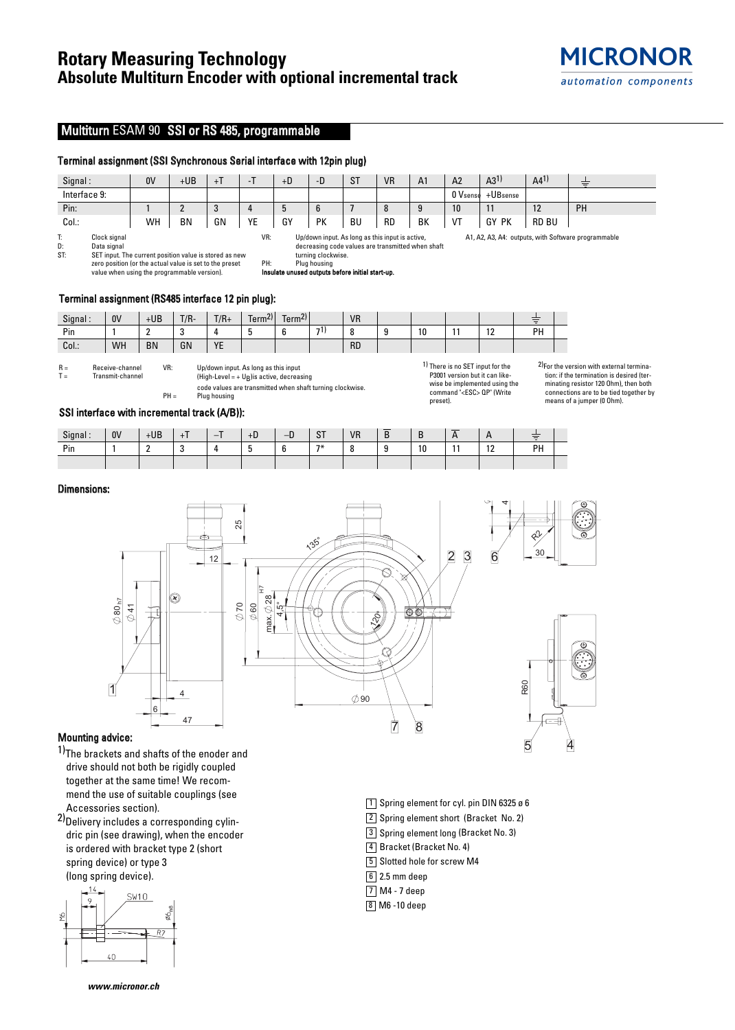# **Rotary Measuring Technology Absolute Multiturn Encoder with optional incremental track**

## Multiturn ESAM 90 SSI or RS 485, programmable

## Terminal assignment (SSI Synchronous Serial interface with 12pin plug)

| Signal:      | 0V | +UB       | $+1$ |                | $+D$ | -D     | $\sim$ T<br>ا ت | <b>VR</b> | A <sub>1</sub> | A <sub>2</sub> | A3 <sup>1</sup> | A4 <sup>1</sup> | __<br>$-$ |
|--------------|----|-----------|------|----------------|------|--------|-----------------|-----------|----------------|----------------|-----------------|-----------------|-----------|
| Interface 9: |    |           |      |                |      |        |                 |           |                | 0 Vsense       | +UBsense        |                 |           |
| Pin:         |    |           | υ    |                | J    | $\sim$ |                 |           |                | 10             | . .             | 12              | PH        |
| Col.:        | WH | <b>BN</b> | GN   | <b>YF</b><br>- | GY   | PK     | <b>BU</b>       | <b>RD</b> | BK             | VT             | PK<br>GY        | <b>RD BU</b>    |           |

T: Clock signal<br>D: Data signal D: Data signal<br>ST: SET input. T SET input. The current position value is stored as new zero position (or the actual value is set to the preset value when using the programmable version).

VR: Up/down input. As long as this input is active, decreasing code values are transmitted when shaft turning clockwise. PH: Plug housing

Insulate unused outputs before initial start-up.

## Terminal assignment (RS485 interface 12 pin plug):

| Signal: | 0V | $+UB$     | $T/R -$ | $T/R+$           | 211<br>$\overline{\phantom{0}}$<br>Term <sup>zi</sup> | Term <sup>2</sup><br>$\overline{\phantom{0}}$ |     | <b>VR</b> |    |                       | __<br>Ξ |  |
|---------|----|-----------|---------|------------------|-------------------------------------------------------|-----------------------------------------------|-----|-----------|----|-----------------------|---------|--|
| Pin     |    |           |         |                  |                                                       |                                               | 71. |           | 10 | $\overline{a}$<br>. . | PH      |  |
| Col.:   | WH | <b>BN</b> | GN      | <b>VE</b><br>. . |                                                       |                                               |     | <b>RD</b> |    |                       |         |  |

 $R =$  Receive-channel<br> $T =$  Transmit-channel Transmit-channel VR: Up/down input. As long as this input (High-Level = +  $U_B$ ) is active, decreasing

code values are transmitted when shaft turning clockwise.  $PH =$  Plug housing

1) There is no SET input for the P3001 version but it can likewise be implemented using the command "<ESC> QP" (Write preset).

1 Spring element for cyl. pin DIN 6325 ø 6 2 Spring element short (Bracket No. 2) 3 Spring element long (Bracket No. 3)

4 Bracket (Bracket No. 4) 5 Slotted hole for screw M4

 $6$  2.5 mm deep M4 - 7 deep 7 8 M6 -10 deep

2)For the version with external termination: if the termination is desired (terminating resistor 120 Ohm), then both connections are to be tied together by means of a jumper (0 Ohm).

 $\overline{4}$ 

A1, A2, A3, A4: outputs, with Software programmable

## SSI interface with incremental track (A/B)):

| Signal | 0 <sup>V</sup> | $+UB$      |           | -<br>- | +D | n<br>–∟ | $\sim$ T<br>o. | <b>VR</b> | $\overline{\phantom{a}}$ |    | _ | . .       | ਵ  |  |
|--------|----------------|------------|-----------|--------|----|---------|----------------|-----------|--------------------------|----|---|-----------|----|--|
| Pin    |                | $\sqrt{2}$ | -<br>- 12 |        |    | $\sim$  | $7*$           |           | $\sqrt{2}$               | 10 |   | 10<br>. . | PH |  |
|        |                |            |           |        |    |         |                |           |                          |    |   |           |    |  |

## Dimensions:



## Mounting advice:

1)The brackets and shafts of the enoder and drive should not both be rigidly coupled together at the same time! We recommend the use of suitable couplings (see Accessories section).

2) Delivery includes a corresponding cylindric pin (see drawing), when the encoder is ordered with bracket type 2 (short spring device) or type 3 (long spring device).



**www.micronor.ch**